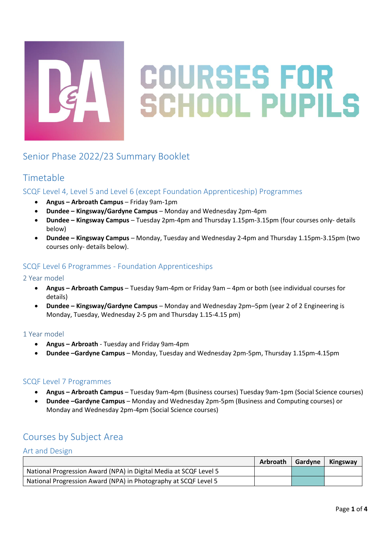

# **COURSES FOR SCHOOL PUPILS**

# Senior Phase 2022/23 Summary Booklet

## Timetable

## SCQF Level 4, Level 5 and Level 6 (except Foundation Apprenticeship) Programmes

- **Angus – Arbroath Campus** Friday 9am-1pm
- **Dundee – Kingsway/Gardyne Campus** Monday and Wednesday 2pm-4pm
- **Dundee – Kingsway Campus** Tuesday 2pm-4pm and Thursday 1.15pm-3.15pm (four courses only- details below)
- **Dundee – Kingsway Campus** Monday, Tuesday and Wednesday 2-4pm and Thursday 1.15pm-3.15pm (two courses only- details below).

## SCQF Level 6 Programmes - Foundation Apprenticeships

#### 2 Year model

- **Angus – Arbroath Campus** Tuesday 9am-4pm or Friday 9am 4pm or both (see individual courses for details)
- **Dundee – Kingsway/Gardyne Campus** Monday and Wednesday 2pm–5pm (year 2 of 2 Engineering is Monday, Tuesday, Wednesday 2-5 pm and Thursday 1.15-4.15 pm)

#### 1 Year model

- **Angus – Arbroath** Tuesday and Friday 9am-4pm
- **Dundee –Gardyne Campus** Monday, Tuesday and Wednesday 2pm-5pm, Thursday 1.15pm-4.15pm

#### SCQF Level 7 Programmes

- **Angus – Arbroath Campus** Tuesday 9am-4pm (Business courses) Tuesday 9am-1pm (Social Science courses)
- **Dundee –Gardyne Campus** Monday and Wednesday 2pm-5pm (Business and Computing courses) or Monday and Wednesday 2pm-4pm (Social Science courses)

# Courses by Subject Area

#### Art and Design

|                                                                   | Arbroath | Gardyne | Kingsway |
|-------------------------------------------------------------------|----------|---------|----------|
| National Progression Award (NPA) in Digital Media at SCQF Level 5 |          |         |          |
| National Progression Award (NPA) in Photography at SCQF Level 5   |          |         |          |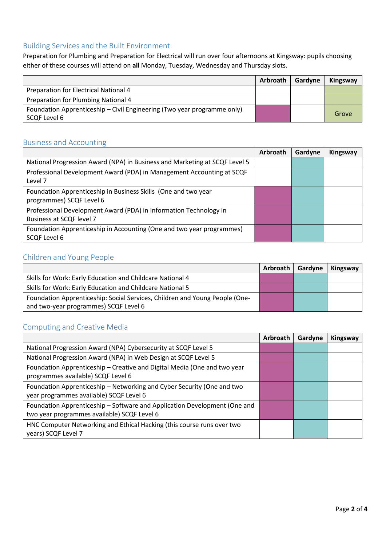## Building Services and the Built Environment

Preparation for Plumbing and Preparation for Electrical will run over four afternoons at Kingsway: pupils choosing either of these courses will attend on **all** Monday, Tuesday, Wednesday and Thursday slots.

|                                                                                         | Arbroath I | Gardyne | Kingsway |
|-----------------------------------------------------------------------------------------|------------|---------|----------|
| Preparation for Electrical National 4                                                   |            |         |          |
| Preparation for Plumbing National 4                                                     |            |         |          |
| Foundation Apprenticeship – Civil Engineering (Two year programme only)<br>SCQF Level 6 |            |         | Grove    |

### Business and Accounting

|                                                                                               | Arbroath | Gardyne | Kingsway |
|-----------------------------------------------------------------------------------------------|----------|---------|----------|
| National Progression Award (NPA) in Business and Marketing at SCQF Level 5                    |          |         |          |
| Professional Development Award (PDA) in Management Accounting at SCQF<br>Level 7              |          |         |          |
| Foundation Apprenticeship in Business Skills (One and two year<br>programmes) SCQF Level 6    |          |         |          |
| Professional Development Award (PDA) in Information Technology in<br>Business at SCQF level 7 |          |         |          |
| Foundation Apprenticeship in Accounting (One and two year programmes)<br><b>SCQF Level 6</b>  |          |         |          |

## Children and Young People

|                                                                             | <b>Arbroath</b> | Gardyne | Kingsway |
|-----------------------------------------------------------------------------|-----------------|---------|----------|
| Skills for Work: Early Education and Childcare National 4                   |                 |         |          |
| Skills for Work: Early Education and Childcare National 5                   |                 |         |          |
| Foundation Apprenticeship: Social Services, Children and Young People (One- |                 |         |          |
| and two-year programmes) SCQF Level 6                                       |                 |         |          |

### Computing and Creative Media

|                                                                                                                          | Arbroath | Gardyne | Kingsway |
|--------------------------------------------------------------------------------------------------------------------------|----------|---------|----------|
| National Progression Award (NPA) Cybersecurity at SCQF Level 5                                                           |          |         |          |
| National Progression Award (NPA) in Web Design at SCQF Level 5                                                           |          |         |          |
| Foundation Apprenticeship - Creative and Digital Media (One and two year<br>programmes available) SCQF Level 6           |          |         |          |
| Foundation Apprenticeship - Networking and Cyber Security (One and two<br>year programmes available) SCQF Level 6        |          |         |          |
| Foundation Apprenticeship - Software and Application Development (One and<br>two year programmes available) SCQF Level 6 |          |         |          |
| HNC Computer Networking and Ethical Hacking (this course runs over two<br>years) SCQF Level 7                            |          |         |          |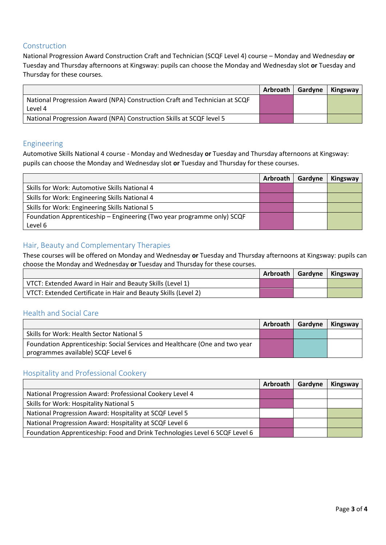#### Construction

National Progression Award Construction Craft and Technician (SCQF Level 4) course – Monday and Wednesday **or**  Tuesday and Thursday afternoons at Kingsway: pupils can choose the Monday and Wednesday slot **or** Tuesday and Thursday for these courses.

|                                                                                       | <b>Arbroath</b> | Gardyne | Kingsway |
|---------------------------------------------------------------------------------------|-----------------|---------|----------|
| National Progression Award (NPA) Construction Craft and Technician at SCQF<br>Level 4 |                 |         |          |
| National Progression Award (NPA) Construction Skills at SCQF level 5                  |                 |         |          |

#### Engineering

Automotive Skills National 4 course - Monday and Wednesday **or** Tuesday and Thursday afternoons at Kingsway: pupils can choose the Monday and Wednesday slot **or** Tuesday and Thursday for these courses.

|                                                                        | Arbroath | Gardyne | Kingsway |
|------------------------------------------------------------------------|----------|---------|----------|
| Skills for Work: Automotive Skills National 4                          |          |         |          |
| Skills for Work: Engineering Skills National 4                         |          |         |          |
| Skills for Work: Engineering Skills National 5                         |          |         |          |
| Foundation Apprenticeship - Engineering (Two year programme only) SCQF |          |         |          |
| Level 6                                                                |          |         |          |

#### Hair, Beauty and Complementary Therapies

These courses will be offered on Monday and Wednesday **or** Tuesday and Thursday afternoons at Kingsway: pupils can choose the Monday and Wednesday **or** Tuesday and Thursday for these courses.

|                                                                |  | Arbroath   Gardyne   Kingsway |
|----------------------------------------------------------------|--|-------------------------------|
| VTCT: Extended Award in Hair and Beauty Skills (Level 1)       |  |                               |
| VTCT: Extended Certificate in Hair and Beauty Skills (Level 2) |  |                               |

#### Health and Social Care

|                                                                                                                   | Arbroath   Gardyne | Kingsway |
|-------------------------------------------------------------------------------------------------------------------|--------------------|----------|
| Skills for Work: Health Sector National 5                                                                         |                    |          |
| Foundation Apprenticeship: Social Services and Healthcare (One and two year<br>programmes available) SCQF Level 6 |                    |          |

#### Hospitality and Professional Cookery

|                                                                             | Arbroath   Gardyne | <b>Kingsway</b> |
|-----------------------------------------------------------------------------|--------------------|-----------------|
| National Progression Award: Professional Cookery Level 4                    |                    |                 |
| Skills for Work: Hospitality National 5                                     |                    |                 |
| National Progression Award: Hospitality at SCQF Level 5                     |                    |                 |
| National Progression Award: Hospitality at SCQF Level 6                     |                    |                 |
| Foundation Apprenticeship: Food and Drink Technologies Level 6 SCQF Level 6 |                    |                 |